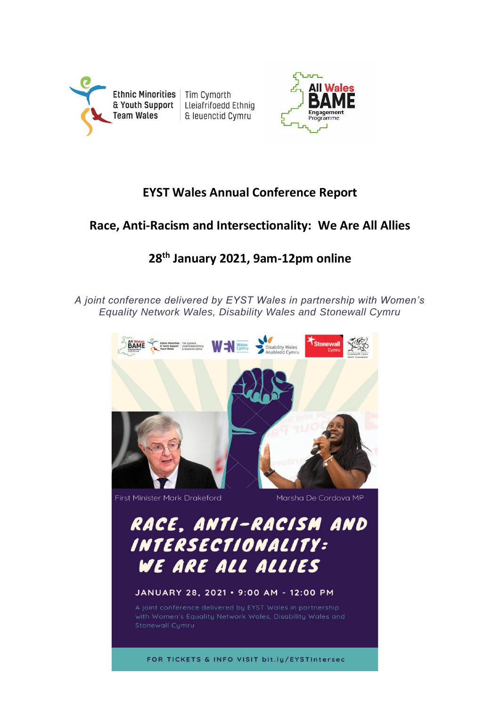



# **EYST Wales Annual Conference Report**

## **Race, Anti-Racism and Intersectionality: We Are All Allies**

## **28th January 2021, 9am-12pm online**

*A joint conference delivered by EYST Wales in partnership with Women's Equality Network Wales, Disability Wales and Stonewall Cymru*



First Minister Mark Drakeford

Marsha De Cordova MP

RACE, ANTI-RACISM AND INTERSECTIONALITY: WE ARE ALL ALLIES

#### JANUARY 28, 2021 . 9:00 AM - 12:00 PM

FOR TICKETS & INFO VISIT bit.ly/EYSTIntersec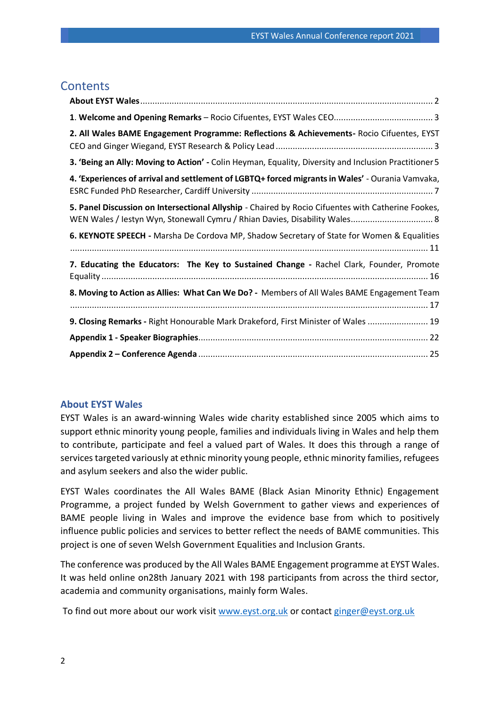## **Contents**

| 2. All Wales BAME Engagement Programme: Reflections & Achievements- Rocio Cifuentes, EYST                                                                                        |
|----------------------------------------------------------------------------------------------------------------------------------------------------------------------------------|
| 3. 'Being an Ally: Moving to Action' - Colin Heyman, Equality, Diversity and Inclusion Practitioner 5                                                                            |
| 4. 'Experiences of arrival and settlement of LGBTQ+ forced migrants in Wales' - Ourania Vamvaka,                                                                                 |
| 5. Panel Discussion on Intersectional Allyship - Chaired by Rocio Cifuentes with Catherine Fookes,<br>WEN Wales / Iestyn Wyn, Stonewall Cymru / Rhian Davies, Disability Wales 8 |
| 6. KEYNOTE SPEECH - Marsha De Cordova MP, Shadow Secretary of State for Women & Equalities                                                                                       |
| 7. Educating the Educators: The Key to Sustained Change - Rachel Clark, Founder, Promote                                                                                         |
| 8. Moving to Action as Allies: What Can We Do? - Members of All Wales BAME Engagement Team                                                                                       |
| 9. Closing Remarks - Right Honourable Mark Drakeford, First Minister of Wales  19                                                                                                |
|                                                                                                                                                                                  |
|                                                                                                                                                                                  |

#### <span id="page-1-0"></span>**About EYST Wales**

EYST Wales is an award-winning Wales wide charity established since 2005 which aims to support ethnic minority young people, families and individuals living in Wales and help them to contribute, participate and feel a valued part of Wales. It does this through a range of services targeted variously at ethnic minority young people, ethnic minority families, refugees and asylum seekers and also the wider public.

EYST Wales coordinates the All Wales BAME (Black Asian Minority Ethnic) Engagement Programme, a project funded by Welsh Government to gather views and experiences of BAME people living in Wales and improve the evidence base from which to positively influence public policies and services to better reflect the needs of BAME communities. This project is one of seven Welsh Government Equalities and Inclusion Grants.

The conference was produced by the All Wales BAME Engagement programme at EYST Wales. It was held online on28th January 2021 with 198 participants from across the third sector, academia and community organisations, mainly form Wales.

To find out more about our work visit [www.eyst.org.uk](http://www.eyst.org.uk/) or contact [ginger@eyst.org.uk](mailto:ginger@eyst.org.uk)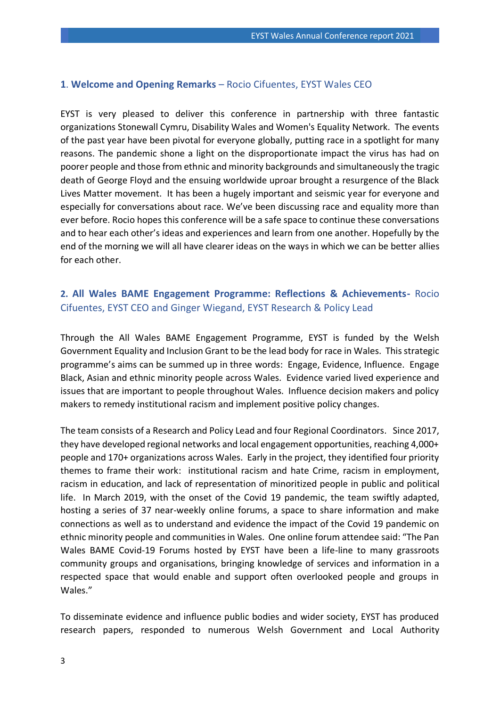#### <span id="page-2-0"></span>**1**. **Welcome and Opening Remarks** – Rocio Cifuentes, EYST Wales CEO

EYST is very pleased to deliver this conference in partnership with three fantastic organizations Stonewall Cymru, Disability Wales and Women's Equality Network. The events of the past year have been pivotal for everyone globally, putting race in a spotlight for many reasons. The pandemic shone a light on the disproportionate impact the virus has had on poorer people and those from ethnic and minority backgrounds and simultaneously the tragic death of George Floyd and the ensuing worldwide uproar brought a resurgence of the Black Lives Matter movement. It has been a hugely important and seismic year for everyone and especially for conversations about race. We've been discussing race and equality more than ever before. Rocio hopes this conference will be a safe space to continue these conversations and to hear each other's ideas and experiences and learn from one another. Hopefully by the end of the morning we will all have clearer ideas on the ways in which we can be better allies for each other.

### <span id="page-2-1"></span>**2. All Wales BAME Engagement Programme: Reflections & Achievements-** Rocio Cifuentes, EYST CEO and Ginger Wiegand, EYST Research & Policy Lead

Through the All Wales BAME Engagement Programme, EYST is funded by the Welsh Government Equality and Inclusion Grant to be the lead body for race in Wales. This strategic programme's aims can be summed up in three words: Engage, Evidence, Influence. Engage Black, Asian and ethnic minority people across Wales. Evidence varied lived experience and issues that are important to people throughout Wales. Influence decision makers and policy makers to remedy institutional racism and implement positive policy changes.

The team consists of a Research and Policy Lead and four Regional Coordinators. Since 2017, they have developed regional networks and local engagement opportunities, reaching 4,000+ people and 170+ organizations across Wales. Early in the project, they identified four priority themes to frame their work: institutional racism and hate Crime, racism in employment, racism in education, and lack of representation of minoritized people in public and political life. In March 2019, with the onset of the Covid 19 pandemic, the team swiftly adapted, hosting a series of 37 near-weekly online forums, a space to share information and make connections as well as to understand and evidence the impact of the Covid 19 pandemic on ethnic minority people and communities in Wales. One online forum attendee said: "The Pan Wales BAME Covid-19 Forums hosted by EYST have been a life-line to many grassroots community groups and organisations, bringing knowledge of services and information in a respected space that would enable and support often overlooked people and groups in Wales."

To disseminate evidence and influence public bodies and wider society, EYST has produced research papers, responded to numerous Welsh Government and Local Authority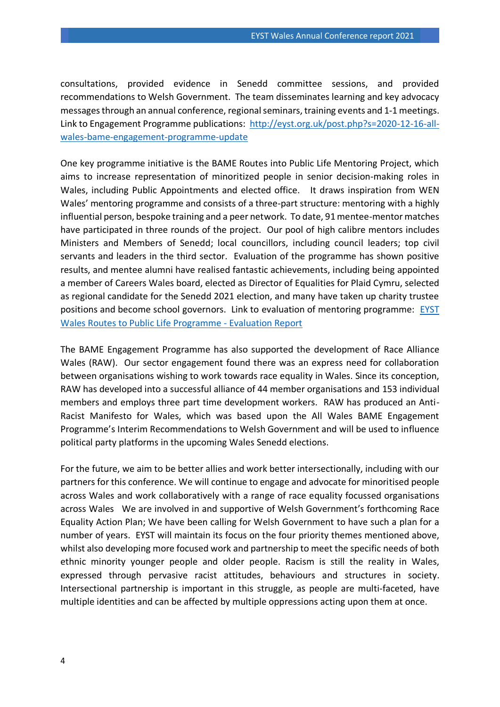consultations, provided evidence in Senedd committee sessions, and provided recommendations to Welsh Government. The team disseminates learning and key advocacy messages through an annual conference, regional seminars, training events and 1-1 meetings. Link to Engagement Programme publications: [http://eyst.org.uk/post.php?s=2020-12-16-all](http://eyst.org.uk/post.php?s=2020-12-16-all-wales-bame-engagement-programme-update)[wales-bame-engagement-programme-update](http://eyst.org.uk/post.php?s=2020-12-16-all-wales-bame-engagement-programme-update)

One key programme initiative is the BAME Routes into Public Life Mentoring Project, which aims to increase representation of minoritized people in senior decision-making roles in Wales, including Public Appointments and elected office. It draws inspiration from WEN Wales' mentoring programme and consists of a three-part structure: mentoring with a highly influential person, bespoke training and a peer network. To date, 91 mentee-mentor matches have participated in three rounds of the project. Our pool of high calibre mentors includes Ministers and Members of Senedd; local councillors, including council leaders; top civil servants and leaders in the third sector. Evaluation of the programme has shown positive results, and mentee alumni have realised fantastic achievements, including being appointed a member of Careers Wales board, elected as Director of Equalities for Plaid Cymru, selected as regional candidate for the Senedd 2021 election, and many have taken up charity trustee positions and become school governors. Link to evaluation of mentoring programme: [EYST](http://eyst.org.uk/post.php?s=2020-12-17-eyst-wales-routes-to-public-life-programme-evaluation-report)  [Wales Routes to Public Life Programme -](http://eyst.org.uk/post.php?s=2020-12-17-eyst-wales-routes-to-public-life-programme-evaluation-report) Evaluation Report

The BAME Engagement Programme has also supported the development of Race Alliance Wales (RAW). Our sector engagement found there was an express need for collaboration between organisations wishing to work towards race equality in Wales. Since its conception, RAW has developed into a successful alliance of 44 member organisations and 153 individual members and employs three part time development workers. RAW has produced an Anti-Racist Manifesto for Wales, which was based upon the All Wales BAME Engagement Programme's Interim Recommendations to Welsh Government and will be used to influence political party platforms in the upcoming Wales Senedd elections.

For the future, we aim to be better allies and work better intersectionally, including with our partners for this conference. We will continue to engage and advocate for minoritised people across Wales and work collaboratively with a range of race equality focussed organisations across Wales We are involved in and supportive of Welsh Government's forthcoming Race Equality Action Plan; We have been calling for Welsh Government to have such a plan for a number of years. EYST will maintain its focus on the four priority themes mentioned above, whilst also developing more focused work and partnership to meet the specific needs of both ethnic minority younger people and older people. Racism is still the reality in Wales, expressed through pervasive racist attitudes, behaviours and structures in society. Intersectional partnership is important in this struggle, as people are multi-faceted, have multiple identities and can be affected by multiple oppressions acting upon them at once.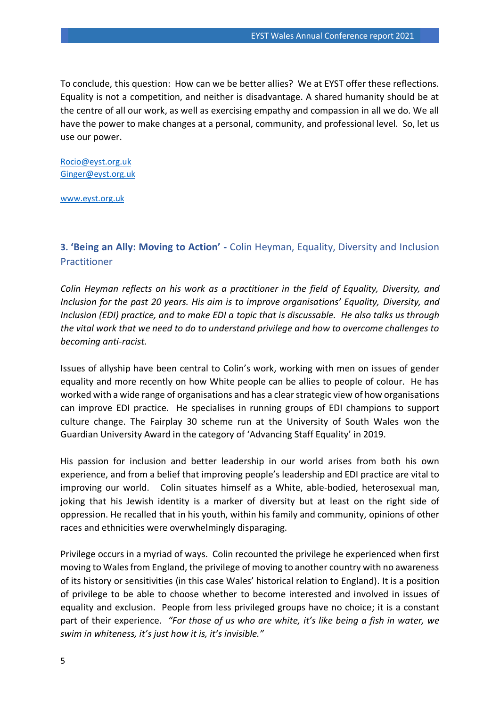To conclude, this question: How can we be better allies? We at EYST offer these reflections. Equality is not a competition, and neither is disadvantage. A shared humanity should be at the centre of all our work, as well as exercising empathy and compassion in all we do. We all have the power to make changes at a personal, community, and professional level. So, let us use our power.

[Rocio@eyst.org.uk](mailto:Rocio@eyst.org.uk) [Ginger@eyst.org.uk](mailto:Ginger@eyst.org.uk)

[www.eyst.org.uk](http://www.eyst.org.uk/)

## <span id="page-4-0"></span>**3. 'Being an Ally: Moving to Action' -** Colin Heyman, Equality, Diversity and Inclusion Practitioner

*Colin Heyman reflects on his work as a practitioner in the field of Equality, Diversity, and Inclusion for the past 20 years. His aim is to improve organisations' Equality, Diversity, and Inclusion (EDI) practice, and to make EDI a topic that is discussable. He also talks us through the vital work that we need to do to understand privilege and how to overcome challenges to becoming anti-racist.* 

Issues of allyship have been central to Colin's work, working with men on issues of gender equality and more recently on how White people can be allies to people of colour. He has worked with a wide range of organisations and has a clear strategic view of how organisations can improve EDI practice. He specialises in running groups of EDI champions to support culture change. The Fairplay 30 scheme run at the University of South Wales won the Guardian University Award in the category of 'Advancing Staff Equality' in 2019.

His passion for inclusion and better leadership in our world arises from both his own experience, and from a belief that improving people's leadership and EDI practice are vital to improving our world. Colin situates himself as a White, able-bodied, heterosexual man, joking that his Jewish identity is a marker of diversity but at least on the right side of oppression. He recalled that in his youth, within his family and community, opinions of other races and ethnicities were overwhelmingly disparaging.

Privilege occurs in a myriad of ways. Colin recounted the privilege he experienced when first moving to Wales from England, the privilege of moving to another country with no awareness of its history or sensitivities (in this case Wales' historical relation to England). It is a position of privilege to be able to choose whether to become interested and involved in issues of equality and exclusion. People from less privileged groups have no choice; it is a constant part of their experience. *"For those of us who are white, it's like being a fish in water, we swim in whiteness, it's just how it is, it's invisible."*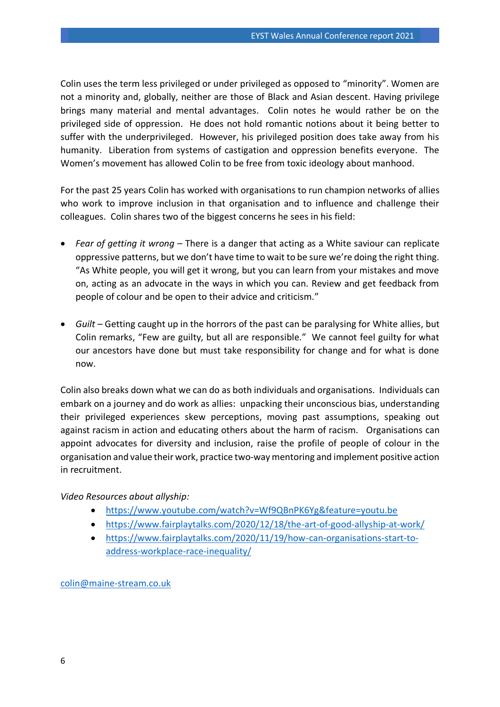Colin uses the term less privileged or under privileged as opposed to "minority". Women are not a minority and, globally, neither are those of Black and Asian descent. Having privilege brings many material and mental advantages. Colin notes he would rather be on the privileged side of oppression. He does not hold romantic notions about it being better to suffer with the underprivileged. However, his privileged position does take away from his humanity. Liberation from systems of castigation and oppression benefits everyone. The Women's movement has allowed Colin to be free from toxic ideology about manhood.

For the past 25 years Colin has worked with organisations to run champion networks of allies who work to improve inclusion in that organisation and to influence and challenge their colleagues. Colin shares two of the biggest concerns he sees in his field:

- *Fear of getting it wrong* There is a danger that acting as a White saviour can replicate oppressive patterns, but we don't have time to wait to be sure we're doing the right thing. "As White people, you will get it wrong, but you can learn from your mistakes and move on, acting as an advocate in the ways in which you can. Review and get feedback from people of colour and be open to their advice and criticism."
- *Guilt* Getting caught up in the horrors of the past can be paralysing for White allies, but Colin remarks, "Few are guilty, but all are responsible." We cannot feel guilty for what our ancestors have done but must take responsibility for change and for what is done now.

Colin also breaks down what we can do as both individuals and organisations. Individuals can embark on a journey and do work as allies: unpacking their unconscious bias, understanding their privileged experiences skew perceptions, moving past assumptions, speaking out against racism in action and educating others about the harm of racism. Organisations can appoint advocates for diversity and inclusion, raise the profile of people of colour in the organisation and value their work, practice two-way mentoring and implement positive action in recruitment.

#### *Video Resources about allyship:*

- <https://www.youtube.com/watch?v=Wf9QBnPK6Yg&feature=youtu.be>
- <https://www.fairplaytalks.com/2020/12/18/the-art-of-good-allyship-at-work/>
- [https://www.fairplaytalks.com/2020/11/19/how-can-organisations-start-to](https://www.fairplaytalks.com/2020/11/19/how-can-organisations-start-to-address-workplace-race-inequality/)[address-workplace-race-inequality/](https://www.fairplaytalks.com/2020/11/19/how-can-organisations-start-to-address-workplace-race-inequality/)

[colin@maine-stream.co.uk](mailto:colin@maine-stream.co.uk)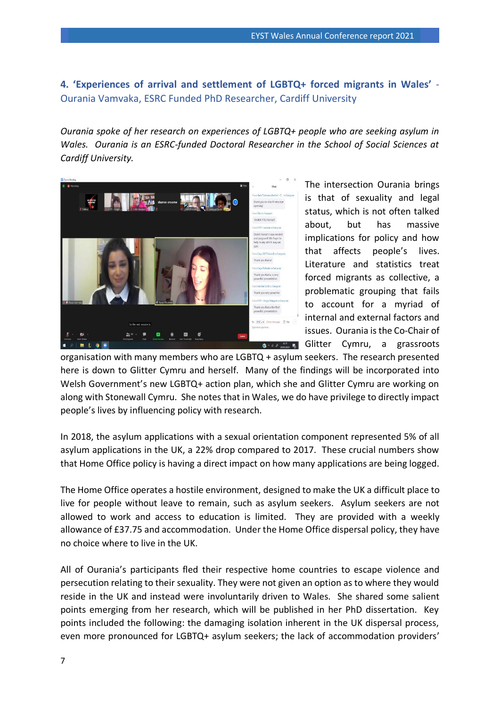## <span id="page-6-0"></span>**4. 'Experiences of arrival and settlement of LGBTQ+ forced migrants in Wales'** - Ourania Vamvaka, ESRC Funded PhD Researcher, Cardiff University

*Ourania spoke of her research on experiences of LGBTQ+ people who are seeking asylum in Wales. Ourania is an ESRC-funded Doctoral Researcher in the School of Social Sciences at Cardiff University.*



The intersection Ourania brings is that of sexuality and legal status, which is not often talked about, but has massive implications for policy and how that affects people's lives. Literature and statistics treat forced migrants as collective, a problematic grouping that fails to account for a myriad of internal and external factors and issues. Ourania is the Co-Chair of Glitter Cymru, a grassroots

organisation with many members who are LGBTQ + asylum seekers. The research presented here is down to Glitter Cymru and herself. Many of the findings will be incorporated into Welsh Government's new LGBTQ+ action plan, which she and Glitter Cymru are working on along with Stonewall Cymru. She notes that in Wales, we do have privilege to directly impact people's lives by influencing policy with research.

In 2018, the asylum applications with a sexual orientation component represented 5% of all asylum applications in the UK, a 22% drop compared to 2017. These crucial numbers show that Home Office policy is having a direct impact on how many applications are being logged.

The Home Office operates a hostile environment, designed to make the UK a difficult place to live for people without leave to remain, such as asylum seekers. Asylum seekers are not allowed to work and access to education is limited. They are provided with a weekly allowance of £37.75 and accommodation. Under the Home Office dispersal policy, they have no choice where to live in the UK.

All of Ourania's participants fled their respective home countries to escape violence and persecution relating to their sexuality. They were not given an option as to where they would reside in the UK and instead were involuntarily driven to Wales. She shared some salient points emerging from her research, which will be published in her PhD dissertation. Key points included the following: the damaging isolation inherent in the UK dispersal process, even more pronounced for LGBTQ+ asylum seekers; the lack of accommodation providers'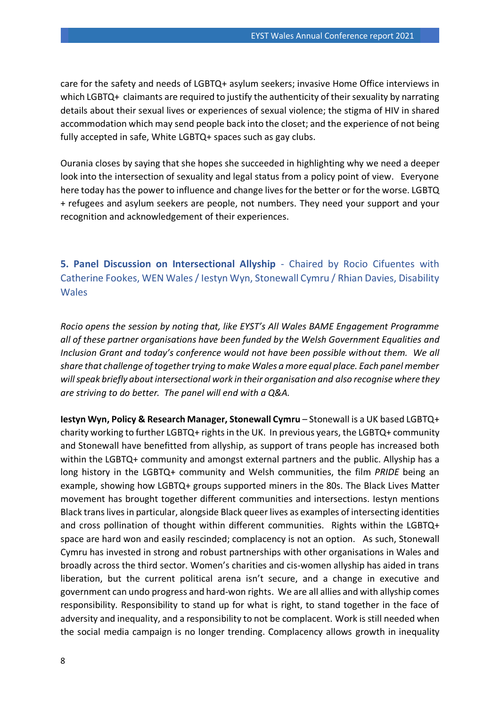care for the safety and needs of LGBTQ+ asylum seekers; invasive Home Office interviews in which LGBTQ+ claimants are required to justify the authenticity of their sexuality by narrating details about their sexual lives or experiences of sexual violence; the stigma of HIV in shared accommodation which may send people back into the closet; and the experience of not being fully accepted in safe, White LGBTQ+ spaces such as gay clubs.

Ourania closes by saying that she hopes she succeeded in highlighting why we need a deeper look into the intersection of sexuality and legal status from a policy point of view. Everyone here today has the power to influence and change lives for the better or for the worse. LGBTQ + refugees and asylum seekers are people, not numbers. They need your support and your recognition and acknowledgement of their experiences.

<span id="page-7-0"></span>**5. Panel Discussion on Intersectional Allyship** - Chaired by Rocio Cifuentes with Catherine Fookes, WEN Wales / Iestyn Wyn, Stonewall Cymru / Rhian Davies, Disability Wales

*Rocio opens the session by noting that, like EYST's All Wales BAME Engagement Programme all of these partner organisations have been funded by the Welsh Government Equalities and Inclusion Grant and today's conference would not have been possible without them. We all share that challenge of together trying to make Wales a more equal place. Each panel member will speak briefly about intersectional work in their organisation and also recognise where they are striving to do better. The panel will end with a Q&A.* 

**Iestyn Wyn, Policy & Research Manager, Stonewall Cymru** – Stonewall is a UK based LGBTQ+ charity working to further LGBTQ+ rights in the UK. In previous years, the LGBTQ+ community and Stonewall have benefitted from allyship, as support of trans people has increased both within the LGBTQ+ community and amongst external partners and the public. Allyship has a long history in the LGBTQ+ community and Welsh communities, the film *PRIDE* being an example, showing how LGBTQ+ groups supported miners in the 80s. The Black Lives Matter movement has brought together different communities and intersections. Iestyn mentions Black trans lives in particular, alongside Black queer lives as examples of intersecting identities and cross pollination of thought within different communities. Rights within the LGBTQ+ space are hard won and easily rescinded; complacency is not an option. As such, Stonewall Cymru has invested in strong and robust partnerships with other organisations in Wales and broadly across the third sector. Women's charities and cis-women allyship has aided in trans liberation, but the current political arena isn't secure, and a change in executive and government can undo progress and hard-won rights. We are all allies and with allyship comes responsibility. Responsibility to stand up for what is right, to stand together in the face of adversity and inequality, and a responsibility to not be complacent. Work is still needed when the social media campaign is no longer trending. Complacency allows growth in inequality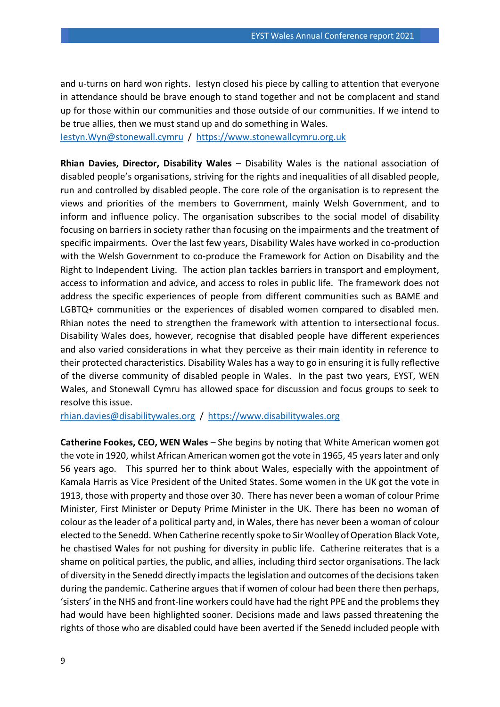and u-turns on hard won rights. Iestyn closed his piece by calling to attention that everyone in attendance should be brave enough to stand together and not be complacent and stand up for those within our communities and those outside of our communities. If we intend to be true allies, then we must stand up and do something in Wales.

[Iestyn.Wyn@stonewall.cymru](mailto:Iestyn.Wyn@stonewall.cymru) / [https://www.stonewallcymru.org.uk](https://www.stonewallcymru.org.uk/)

**Rhian Davies, Director, Disability Wales** – Disability Wales is the national association of disabled people's organisations, striving for the rights and inequalities of all disabled people, run and controlled by disabled people. The core role of the organisation is to represent the views and priorities of the members to Government, mainly Welsh Government, and to inform and influence policy. The organisation subscribes to the social model of disability focusing on barriers in society rather than focusing on the impairments and the treatment of specific impairments. Over the last few years, Disability Wales have worked in co-production with the Welsh Government to co-produce the Framework for Action on Disability and the Right to Independent Living. The action plan tackles barriers in transport and employment, access to information and advice, and access to roles in public life. The framework does not address the specific experiences of people from different communities such as BAME and LGBTQ+ communities or the experiences of disabled women compared to disabled men. Rhian notes the need to strengthen the framework with attention to intersectional focus. Disability Wales does, however, recognise that disabled people have different experiences and also varied considerations in what they perceive as their main identity in reference to their protected characteristics. Disability Wales has a way to go in ensuring it is fully reflective of the diverse community of disabled people in Wales. In the past two years, EYST, WEN Wales, and Stonewall Cymru has allowed space for discussion and focus groups to seek to resolve this issue.

[rhian.davies@disabilitywales.org](mailto:rhian.davies@disabilitywales.org) / [https://www.disabilitywales.org](https://www.disabilitywales.org/)

**Catherine Fookes, CEO, WEN Wales** – She begins by noting that White American women got the vote in 1920, whilst African American women got the vote in 1965, 45 years later and only 56 years ago. This spurred her to think about Wales, especially with the appointment of Kamala Harris as Vice President of the United States. Some women in the UK got the vote in 1913, those with property and those over 30. There has never been a woman of colour Prime Minister, First Minister or Deputy Prime Minister in the UK. There has been no woman of colour as the leader of a political party and, in Wales, there has never been a woman of colour elected to the Senedd. When Catherine recently spoke to Sir Woolley of Operation Black Vote, he chastised Wales for not pushing for diversity in public life. Catherine reiterates that is a shame on political parties, the public, and allies, including third sector organisations. The lack of diversity in the Senedd directly impacts the legislation and outcomes of the decisions taken during the pandemic. Catherine argues that if women of colour had been there then perhaps, 'sisters' in the NHS and front-line workers could have had the right PPE and the problems they had would have been highlighted sooner. Decisions made and laws passed threatening the rights of those who are disabled could have been averted if the Senedd included people with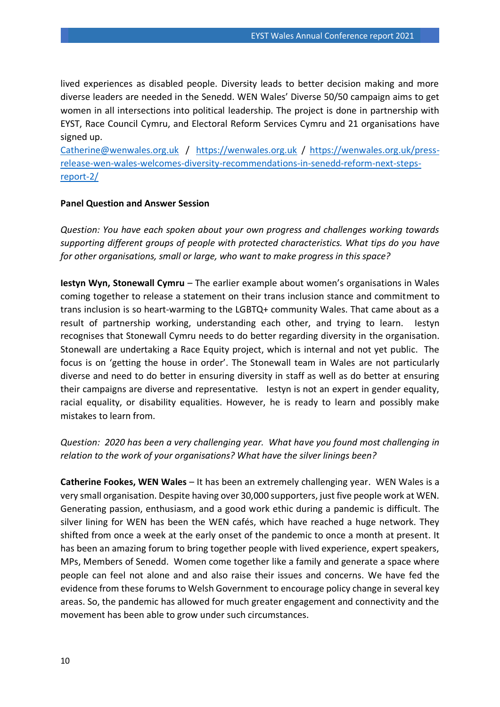lived experiences as disabled people. Diversity leads to better decision making and more diverse leaders are needed in the Senedd. WEN Wales' Diverse 50/50 campaign aims to get women in all intersections into political leadership. The project is done in partnership with EYST, Race Council Cymru, and Electoral Reform Services Cymru and 21 organisations have signed up.

[Catherine@wenwales.org.uk](mailto:Catherine@wenwales.org.uk) / [https://wenwales.org.uk](https://wenwales.org.uk/) / [https://wenwales.org.uk/press](https://wenwales.org.uk/press-release-wen-wales-welcomes-diversity-recommendations-in-senedd-reform-next-steps-report-2/)[release-wen-wales-welcomes-diversity-recommendations-in-senedd-reform-next-steps](https://wenwales.org.uk/press-release-wen-wales-welcomes-diversity-recommendations-in-senedd-reform-next-steps-report-2/)[report-2/](https://wenwales.org.uk/press-release-wen-wales-welcomes-diversity-recommendations-in-senedd-reform-next-steps-report-2/)

#### **Panel Question and Answer Session**

*Question: You have each spoken about your own progress and challenges working towards supporting different groups of people with protected characteristics. What tips do you have for other organisations, small or large, who want to make progress in this space?*

**Iestyn Wyn, Stonewall Cymru** – The earlier example about women's organisations in Wales coming together to release a statement on their trans inclusion stance and commitment to trans inclusion is so heart-warming to the LGBTQ+ community Wales. That came about as a result of partnership working, understanding each other, and trying to learn. Iestyn recognises that Stonewall Cymru needs to do better regarding diversity in the organisation. Stonewall are undertaking a Race Equity project, which is internal and not yet public. The focus is on 'getting the house in order'. The Stonewall team in Wales are not particularly diverse and need to do better in ensuring diversity in staff as well as do better at ensuring their campaigns are diverse and representative. Iestyn is not an expert in gender equality, racial equality, or disability equalities. However, he is ready to learn and possibly make mistakes to learn from.

#### *Question: 2020 has been a very challenging year. What have you found most challenging in relation to the work of your organisations? What have the silver linings been?*

**Catherine Fookes, WEN Wales** – It has been an extremely challenging year. WEN Wales is a very small organisation. Despite having over 30,000 supporters, just five people work at WEN. Generating passion, enthusiasm, and a good work ethic during a pandemic is difficult. The silver lining for WEN has been the WEN cafés, which have reached a huge network. They shifted from once a week at the early onset of the pandemic to once a month at present. It has been an amazing forum to bring together people with lived experience, expert speakers, MPs, Members of Senedd. Women come together like a family and generate a space where people can feel not alone and and also raise their issues and concerns. We have fed the evidence from these forums to Welsh Government to encourage policy change in several key areas. So, the pandemic has allowed for much greater engagement and connectivity and the movement has been able to grow under such circumstances.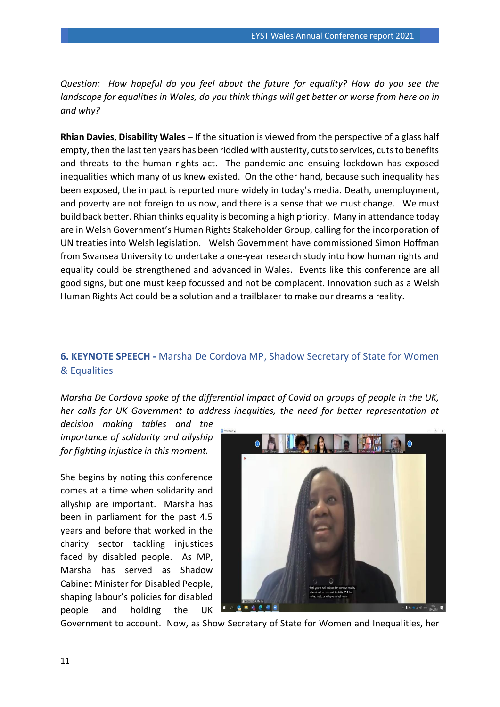*Question: How hopeful do you feel about the future for equality? How do you see the landscape for equalities in Wales, do you think things will get better or worse from here on in and why?*

**Rhian Davies, Disability Wales** – If the situation is viewed from the perspective of a glass half empty, then the last ten years has been riddled with austerity, cuts to services, cuts to benefits and threats to the human rights act. The pandemic and ensuing lockdown has exposed inequalities which many of us knew existed. On the other hand, because such inequality has been exposed, the impact is reported more widely in today's media. Death, unemployment, and poverty are not foreign to us now, and there is a sense that we must change. We must build back better. Rhian thinks equality is becoming a high priority. Many in attendance today are in Welsh Government's Human Rights Stakeholder Group, calling for the incorporation of UN treaties into Welsh legislation. Welsh Government have commissioned Simon Hoffman from Swansea University to undertake a one-year research study into how human rights and equality could be strengthened and advanced in Wales. Events like this conference are all good signs, but one must keep focussed and not be complacent. Innovation such as a Welsh Human Rights Act could be a solution and a trailblazer to make our dreams a reality.

## <span id="page-10-0"></span>**6. KEYNOTE SPEECH -** Marsha De Cordova MP, Shadow Secretary of State for Women & Equalities

*Marsha De Cordova spoke of the differential impact of Covid on groups of people in the UK, her calls for UK Government to address inequities, the need for better representation at* 

*decision making tables and the importance of solidarity and allyship for fighting injustice in this moment.* 

She begins by noting this conference comes at a time when solidarity and allyship are important. Marsha has been in parliament for the past 4.5 years and before that worked in the charity sector tackling injustices faced by disabled people. As MP, Marsha has served as Shadow Cabinet Minister for Disabled People, shaping labour's policies for disabled people and holding the UK



Government to account. Now, as Show Secretary of State for Women and Inequalities, her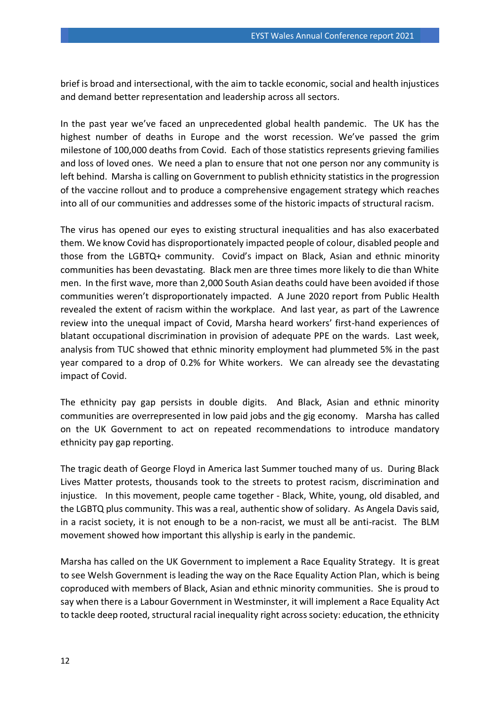brief is broad and intersectional, with the aim to tackle economic, social and health injustices and demand better representation and leadership across all sectors.

In the past year we've faced an unprecedented global health pandemic. The UK has the highest number of deaths in Europe and the worst recession. We've passed the grim milestone of 100,000 deaths from Covid. Each of those statistics represents grieving families and loss of loved ones. We need a plan to ensure that not one person nor any community is left behind. Marsha is calling on Government to publish ethnicity statistics in the progression of the vaccine rollout and to produce a comprehensive engagement strategy which reaches into all of our communities and addresses some of the historic impacts of structural racism.

The virus has opened our eyes to existing structural inequalities and has also exacerbated them. We know Covid has disproportionately impacted people of colour, disabled people and those from the LGBTQ+ community. Covid's impact on Black, Asian and ethnic minority communities has been devastating. Black men are three times more likely to die than White men. In the first wave, more than 2,000 South Asian deaths could have been avoided if those communities weren't disproportionately impacted. A June 2020 report from Public Health revealed the extent of racism within the workplace. And last year, as part of the Lawrence review into the unequal impact of Covid, Marsha heard workers' first-hand experiences of blatant occupational discrimination in provision of adequate PPE on the wards. Last week, analysis from TUC showed that ethnic minority employment had plummeted 5% in the past year compared to a drop of 0.2% for White workers. We can already see the devastating impact of Covid.

The ethnicity pay gap persists in double digits. And Black, Asian and ethnic minority communities are overrepresented in low paid jobs and the gig economy. Marsha has called on the UK Government to act on repeated recommendations to introduce mandatory ethnicity pay gap reporting.

The tragic death of George Floyd in America last Summer touched many of us. During Black Lives Matter protests, thousands took to the streets to protest racism, discrimination and injustice. In this movement, people came together - Black, White, young, old disabled, and the LGBTQ plus community. This was a real, authentic show of solidary. As Angela Davis said, in a racist society, it is not enough to be a non-racist, we must all be anti-racist. The BLM movement showed how important this allyship is early in the pandemic.

Marsha has called on the UK Government to implement a Race Equality Strategy. It is great to see Welsh Government is leading the way on the Race Equality Action Plan, which is being coproduced with members of Black, Asian and ethnic minority communities. She is proud to say when there is a Labour Government in Westminster, it will implement a Race Equality Act to tackle deep rooted, structural racial inequality right across society: education, the ethnicity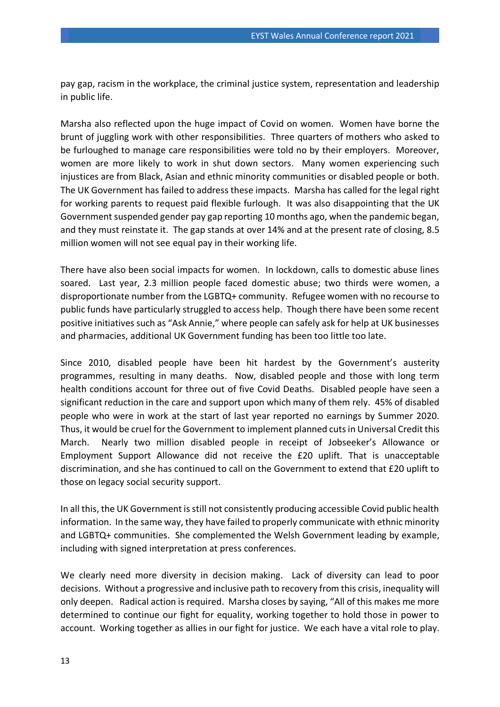pay gap, racism in the workplace, the criminal justice system, representation and leadership in public life.

Marsha also reflected upon the huge impact of Covid on women. Women have borne the brunt of juggling work with other responsibilities. Three quarters of mothers who asked to be furloughed to manage care responsibilities were told no by their employers. Moreover, women are more likely to work in shut down sectors. Many women experiencing such injustices are from Black, Asian and ethnic minority communities or disabled people or both. The UK Government has failed to address these impacts. Marsha has called for the legal right for working parents to request paid flexible furlough. It was also disappointing that the UK Government suspended gender pay gap reporting 10 months ago, when the pandemic began, and they must reinstate it. The gap stands at over 14% and at the present rate of closing, 8.5 million women will not see equal pay in their working life.

There have also been social impacts for women. In lockdown, calls to domestic abuse lines soared. Last year, 2.3 million people faced domestic abuse; two thirds were women, a disproportionate number from the LGBTQ+ community. Refugee women with no recourse to public funds have particularly struggled to access help. Though there have been some recent positive initiatives such as "Ask Annie," where people can safely ask for help at UK businesses and pharmacies, additional UK Government funding has been too little too late.

Since 2010, disabled people have been hit hardest by the Government's austerity programmes, resulting in many deaths. Now, disabled people and those with long term health conditions account for three out of five Covid Deaths. Disabled people have seen a significant reduction in the care and support upon which many of them rely. 45% of disabled people who were in work at the start of last year reported no earnings by Summer 2020. Thus, it would be cruel for the Government to implement planned cuts in Universal Credit this March. Nearly two million disabled people in receipt of Jobseeker's Allowance or Employment Support Allowance did not receive the £20 uplift. That is unacceptable discrimination, and she has continued to call on the Government to extend that £20 uplift to those on legacy social security support.

In all this, the UK Government is still not consistently producing accessible Covid public health information. In the same way, they have failed to properly communicate with ethnic minority and LGBTQ+ communities. She complemented the Welsh Government leading by example, including with signed interpretation at press conferences.

We clearly need more diversity in decision making. Lack of diversity can lead to poor decisions. Without a progressive and inclusive path to recovery from this crisis, inequality will only deepen. Radical action is required. Marsha closes by saying, "All of this makes me more determined to continue our fight for equality, working together to hold those in power to account. Working together as allies in our fight for justice. We each have a vital role to play.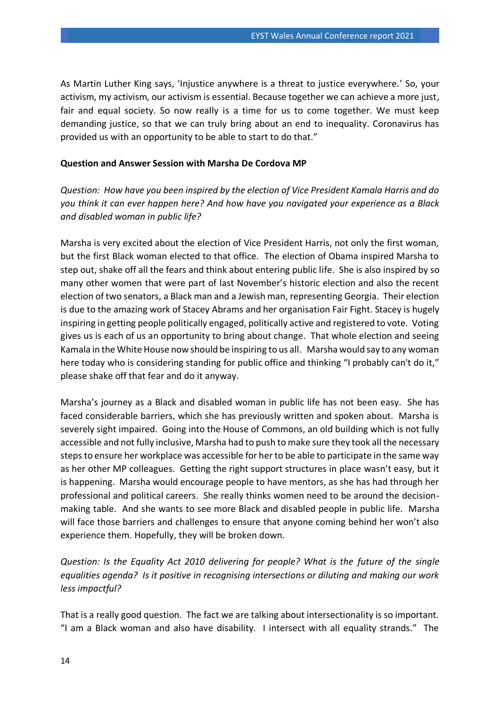As Martin Luther King says, 'Injustice anywhere is a threat to justice everywhere.' So, your activism, my activism, our activism is essential. Because together we can achieve a more just, fair and equal society. So now really is a time for us to come together. We must keep demanding justice, so that we can truly bring about an end to inequality. Coronavirus has provided us with an opportunity to be able to start to do that."

#### **Question and Answer Session with Marsha De Cordova MP**

*Question: How have you been inspired by the election of Vice President Kamala Harris and do you think it can ever happen here? And how have you navigated your experience as a Black and disabled woman in public life?* 

Marsha is very excited about the election of Vice President Harris, not only the first woman, but the first Black woman elected to that office. The election of Obama inspired Marsha to step out, shake off all the fears and think about entering public life. She is also inspired by so many other women that were part of last November's historic election and also the recent election of two senators, a Black man and a Jewish man, representing Georgia. Their election is due to the amazing work of Stacey Abrams and her organisation Fair Fight. Stacey is hugely inspiring in getting people politically engaged, politically active and registered to vote. Voting gives us is each of us an opportunity to bring about change. That whole election and seeing Kamala in the White House now should be inspiring to us all. Marsha would say to any woman here today who is considering standing for public office and thinking "I probably can't do it," please shake off that fear and do it anyway.

Marsha's journey as a Black and disabled woman in public life has not been easy. She has faced considerable barriers, which she has previously written and spoken about. Marsha is severely sight impaired. Going into the House of Commons, an old building which is not fully accessible and not fully inclusive, Marsha had to push to make sure they took all the necessary steps to ensure her workplace was accessible for her to be able to participate in the same way as her other MP colleagues. Getting the right support structures in place wasn't easy, but it is happening. Marsha would encourage people to have mentors, as she has had through her professional and political careers. She really thinks women need to be around the decisionmaking table. And she wants to see more Black and disabled people in public life. Marsha will face those barriers and challenges to ensure that anyone coming behind her won't also experience them. Hopefully, they will be broken down.

*Question: Is the Equality Act 2010 delivering for people? What is the future of the single equalities agenda? Is it positive in recognising intersections or diluting and making our work less impactful?*

That is a really good question. The fact we are talking about intersectionality is so important. "I am a Black woman and also have disability. I intersect with all equality strands." The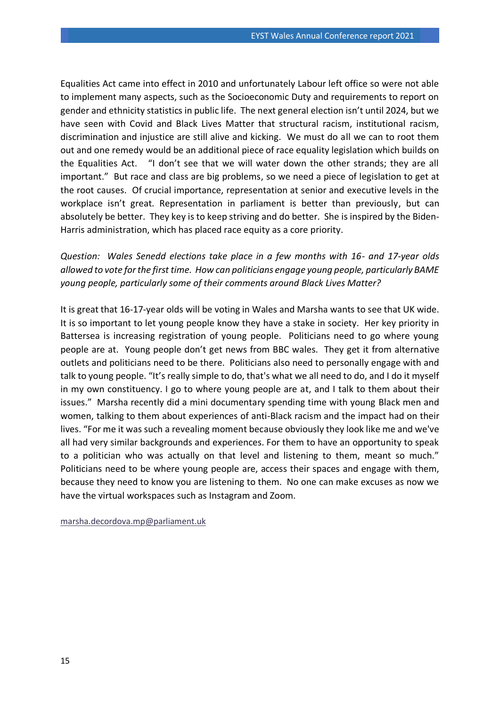Equalities Act came into effect in 2010 and unfortunately Labour left office so were not able to implement many aspects, such as the Socioeconomic Duty and requirements to report on gender and ethnicity statistics in public life. The next general election isn't until 2024, but we have seen with Covid and Black Lives Matter that structural racism, institutional racism, discrimination and injustice are still alive and kicking. We must do all we can to root them out and one remedy would be an additional piece of race equality legislation which builds on the Equalities Act. "I don't see that we will water down the other strands; they are all important." But race and class are big problems, so we need a piece of legislation to get at the root causes. Of crucial importance, representation at senior and executive levels in the workplace isn't great. Representation in parliament is better than previously, but can absolutely be better. They key is to keep striving and do better. She is inspired by the Biden-Harris administration, which has placed race equity as a core priority.

*Question: Wales Senedd elections take place in a few months with 16- and 17-year olds allowed to vote for the first time. How can politicians engage young people, particularly BAME young people, particularly some of their comments around Black Lives Matter?*

It is great that 16-17-year olds will be voting in Wales and Marsha wants to see that UK wide. It is so important to let young people know they have a stake in society. Her key priority in Battersea is increasing registration of young people. Politicians need to go where young people are at. Young people don't get news from BBC wales. They get it from alternative outlets and politicians need to be there. Politicians also need to personally engage with and talk to young people. "It's really simple to do, that's what we all need to do, and I do it myself in my own constituency. I go to where young people are at, and I talk to them about their issues." Marsha recently did a mini documentary spending time with young Black men and women, talking to them about experiences of anti-Black racism and the impact had on their lives. "For me it was such a revealing moment because obviously they look like me and we've all had very similar backgrounds and experiences. For them to have an opportunity to speak to a politician who was actually on that level and listening to them, meant so much." Politicians need to be where young people are, access their spaces and engage with them, because they need to know you are listening to them. No one can make excuses as now we have the virtual workspaces such as Instagram and Zoom.

[marsha.decordova.mp@parliament.uk](mailto:marsha.decordova.mp@parliament.uk)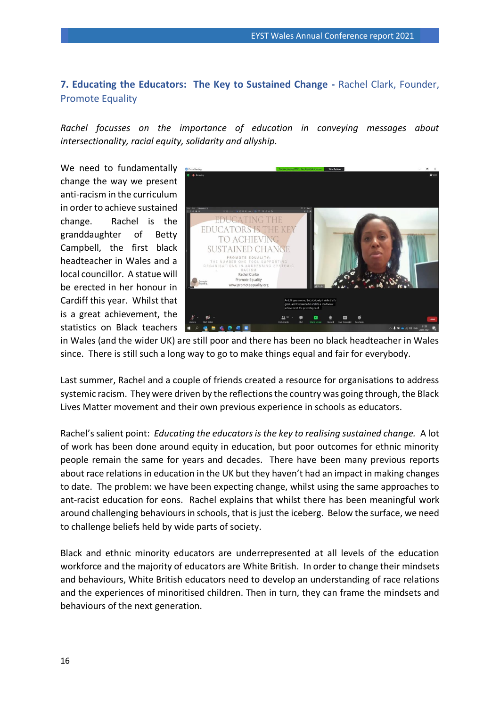## <span id="page-15-0"></span>**7. Educating the Educators: The Key to Sustained Change -** Rachel Clark, Founder, Promote Equality

*Rachel focusses on the importance of education in conveying messages about intersectionality, racial equity, solidarity and allyship.*

We need to fundamentally change the way we present anti-racism in the curriculum in order to achieve sustained change. Rachel is the granddaughter of Betty Campbell, the first black headteacher in Wales and a local councillor. A statue will be erected in her honour in Cardiff this year. Whilst that is a great achievement, the statistics on Black teachers



in Wales (and the wider UK) are still poor and there has been no black headteacher in Wales since. There is still such a long way to go to make things equal and fair for everybody.

Last summer, Rachel and a couple of friends created a resource for organisations to address systemic racism. They were driven by the reflections the country was going through, the Black Lives Matter movement and their own previous experience in schools as educators.

Rachel's salient point: *Educating the educators is the key to realising sustained change.* A lot of work has been done around equity in education, but poor outcomes for ethnic minority people remain the same for years and decades. There have been many previous reports about race relations in education in the UK but they haven't had an impact in making changes to date. The problem: we have been expecting change, whilst using the same approaches to ant-racist education for eons. Rachel explains that whilst there has been meaningful work around challenging behaviours in schools, that is just the iceberg. Below the surface, we need to challenge beliefs held by wide parts of society.

Black and ethnic minority educators are underrepresented at all levels of the education workforce and the majority of educators are White British. In order to change their mindsets and behaviours, White British educators need to develop an understanding of race relations and the experiences of minoritised children. Then in turn, they can frame the mindsets and behaviours of the next generation.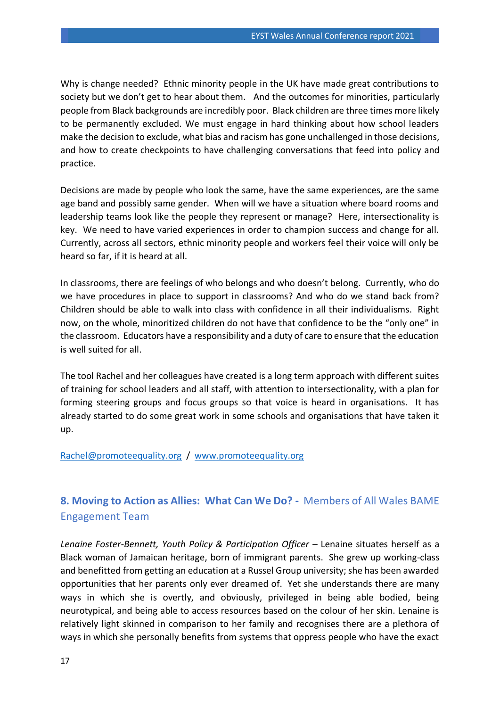Why is change needed? Ethnic minority people in the UK have made great contributions to society but we don't get to hear about them. And the outcomes for minorities, particularly people from Black backgrounds are incredibly poor. Black children are three times more likely to be permanently excluded. We must engage in hard thinking about how school leaders make the decision to exclude, what bias and racism has gone unchallenged in those decisions, and how to create checkpoints to have challenging conversations that feed into policy and practice.

Decisions are made by people who look the same, have the same experiences, are the same age band and possibly same gender. When will we have a situation where board rooms and leadership teams look like the people they represent or manage? Here, intersectionality is key. We need to have varied experiences in order to champion success and change for all. Currently, across all sectors, ethnic minority people and workers feel their voice will only be heard so far, if it is heard at all.

In classrooms, there are feelings of who belongs and who doesn't belong. Currently, who do we have procedures in place to support in classrooms? And who do we stand back from? Children should be able to walk into class with confidence in all their individualisms. Right now, on the whole, minoritized children do not have that confidence to be the "only one" in the classroom. Educators have a responsibility and a duty of care to ensure that the education is well suited for all.

The tool Rachel and her colleagues have created is a long term approach with different suites of training for school leaders and all staff, with attention to intersectionality, with a plan for forming steering groups and focus groups so that voice is heard in organisations. It has already started to do some great work in some schools and organisations that have taken it up.

#### [Rachel@promoteequality.org](mailto:Rachel@promoteequality.org) / [www.promoteequality.org](http://www.promoteequality.org/)

## <span id="page-16-0"></span>**8. Moving to Action as Allies: What Can We Do? -** Members of All Wales BAME Engagement Team

*Lenaine Foster-Bennett, Youth Policy & Participation Officer - Lenaine situates herself as a* Black woman of Jamaican heritage, born of immigrant parents. She grew up working-class and benefitted from getting an education at a Russel Group university; she has been awarded opportunities that her parents only ever dreamed of. Yet she understands there are many ways in which she is overtly, and obviously, privileged in being able bodied, being neurotypical, and being able to access resources based on the colour of her skin. Lenaine is relatively light skinned in comparison to her family and recognises there are a plethora of ways in which she personally benefits from systems that oppress people who have the exact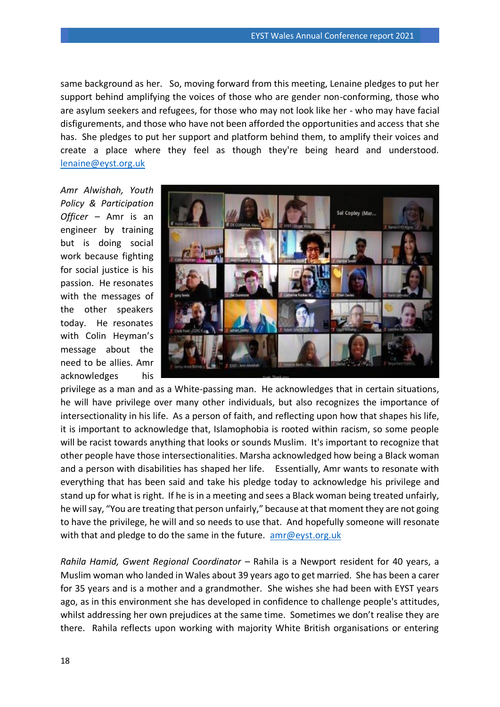same background as her. So, moving forward from this meeting, Lenaine pledges to put her support behind amplifying the voices of those who are gender non-conforming, those who are asylum seekers and refugees, for those who may not look like her - who may have facial disfigurements, and those who have not been afforded the opportunities and access that she has. She pledges to put her support and platform behind them, to amplify their voices and create a place where they feel as though they're being heard and understood. [lenaine@eyst.org.uk](mailto:lenaine@eyst.org.uk)

*Amr Alwishah, Youth Policy & Participation Officer –* Amr is an engineer by training but is doing social work because fighting for social justice is his passion. He resonates with the messages of the other speakers today. He resonates with Colin Heyman's message about the need to be allies. Amr acknowledges his



privilege as a man and as a White-passing man. He acknowledges that in certain situations, he will have privilege over many other individuals, but also recognizes the importance of intersectionality in his life. As a person of faith, and reflecting upon how that shapes his life, it is important to acknowledge that, Islamophobia is rooted within racism, so some people will be racist towards anything that looks or sounds Muslim. It's important to recognize that other people have those intersectionalities. Marsha acknowledged how being a Black woman and a person with disabilities has shaped her life. Essentially, Amr wants to resonate with everything that has been said and take his pledge today to acknowledge his privilege and stand up for what is right. If he is in a meeting and sees a Black woman being treated unfairly, he will say, "You are treating that person unfairly," because at that moment they are not going to have the privilege, he will and so needs to use that. And hopefully someone will resonate with that and pledge to do the same in the future. [amr@eyst.org.uk](mailto:amr@eyst.org.uk)

*Rahila Hamid, Gwent Regional Coordinator –* Rahila is a Newport resident for 40 years, a Muslim woman who landed in Wales about 39 years ago to get married. She has been a carer for 35 years and is a mother and a grandmother. She wishes she had been with EYST years ago, as in this environment she has developed in confidence to challenge people's attitudes, whilst addressing her own prejudices at the same time. Sometimes we don't realise they are there. Rahila reflects upon working with majority White British organisations or entering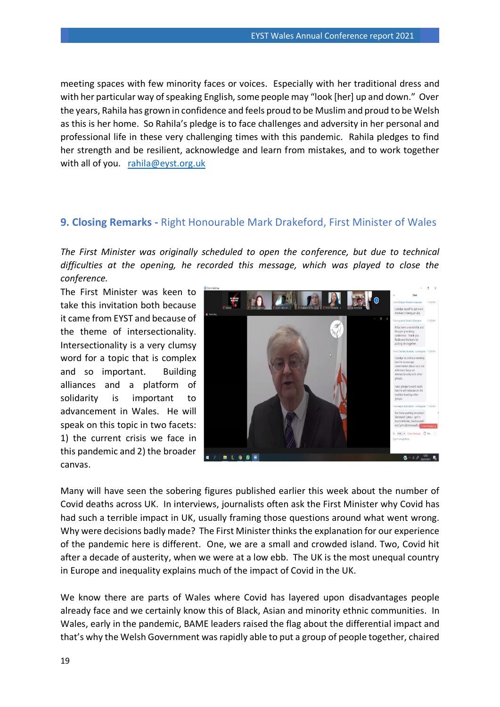meeting spaces with few minority faces or voices. Especially with her traditional dress and with her particular way of speaking English, some people may "look [her] up and down." Over the years, Rahila has grown in confidence and feels proud to be Muslim and proud to be Welsh as this is her home. So Rahila's pledge is to face challenges and adversity in her personal and professional life in these very challenging times with this pandemic. Rahila pledges to find her strength and be resilient, acknowledge and learn from mistakes, and to work together with all of you.  $rahila@eyst.org.uk$ 

#### <span id="page-18-0"></span>**9. Closing Remarks -** Right Honourable Mark Drakeford, First Minister of Wales

*The First Minister was originally scheduled to open the conference, but due to technical difficulties at the opening, he recorded this message, which was played to close the conference.* 

The First Minister was keen to take this invitation both because it came from EYST and because of the theme of intersectionality. Intersectionality is a very clumsy word for a topic that is complex and so important. Building alliances and a platform of solidarity is important to advancement in Wales. He will speak on this topic in two facets: 1) the current crisis we face in this pandemic and 2) the broader canvas.



Many will have seen the sobering figures published earlier this week about the number of Covid deaths across UK. In interviews, journalists often ask the First Minister why Covid has had such a terrible impact in UK, usually framing those questions around what went wrong. Why were decisions badly made? The First Minister thinks the explanation for our experience of the pandemic here is different. One, we are a small and crowded island. Two, Covid hit after a decade of austerity, when we were at a low ebb. The UK is the most unequal country in Europe and inequality explains much of the impact of Covid in the UK.

We know there are parts of Wales where Covid has layered upon disadvantages people already face and we certainly know this of Black, Asian and minority ethnic communities. In Wales, early in the pandemic, BAME leaders raised the flag about the differential impact and that's why the Welsh Government was rapidly able to put a group of people together, chaired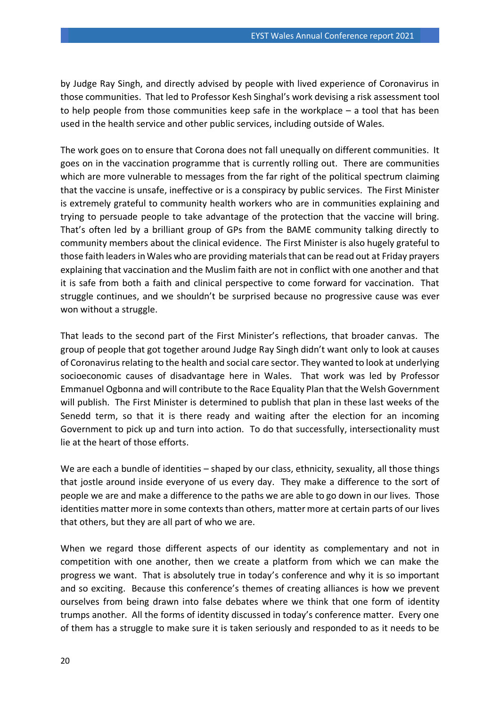by Judge Ray Singh, and directly advised by people with lived experience of Coronavirus in those communities. That led to Professor Kesh Singhal's work devising a risk assessment tool to help people from those communities keep safe in the workplace – a tool that has been used in the health service and other public services, including outside of Wales.

The work goes on to ensure that Corona does not fall unequally on different communities. It goes on in the vaccination programme that is currently rolling out. There are communities which are more vulnerable to messages from the far right of the political spectrum claiming that the vaccine is unsafe, ineffective or is a conspiracy by public services. The First Minister is extremely grateful to community health workers who are in communities explaining and trying to persuade people to take advantage of the protection that the vaccine will bring. That's often led by a brilliant group of GPs from the BAME community talking directly to community members about the clinical evidence. The First Minister is also hugely grateful to those faith leaders in Wales who are providing materials that can be read out at Friday prayers explaining that vaccination and the Muslim faith are not in conflict with one another and that it is safe from both a faith and clinical perspective to come forward for vaccination. That struggle continues, and we shouldn't be surprised because no progressive cause was ever won without a struggle.

That leads to the second part of the First Minister's reflections, that broader canvas. The group of people that got together around Judge Ray Singh didn't want only to look at causes of Coronavirus relating to the health and social care sector. They wanted to look at underlying socioeconomic causes of disadvantage here in Wales. That work was led by Professor Emmanuel Ogbonna and will contribute to the Race Equality Plan that the Welsh Government will publish. The First Minister is determined to publish that plan in these last weeks of the Senedd term, so that it is there ready and waiting after the election for an incoming Government to pick up and turn into action. To do that successfully, intersectionality must lie at the heart of those efforts.

We are each a bundle of identities – shaped by our class, ethnicity, sexuality, all those things that jostle around inside everyone of us every day. They make a difference to the sort of people we are and make a difference to the paths we are able to go down in our lives. Those identities matter more in some contexts than others, matter more at certain parts of our lives that others, but they are all part of who we are.

When we regard those different aspects of our identity as complementary and not in competition with one another, then we create a platform from which we can make the progress we want. That is absolutely true in today's conference and why it is so important and so exciting. Because this conference's themes of creating alliances is how we prevent ourselves from being drawn into false debates where we think that one form of identity trumps another. All the forms of identity discussed in today's conference matter. Every one of them has a struggle to make sure it is taken seriously and responded to as it needs to be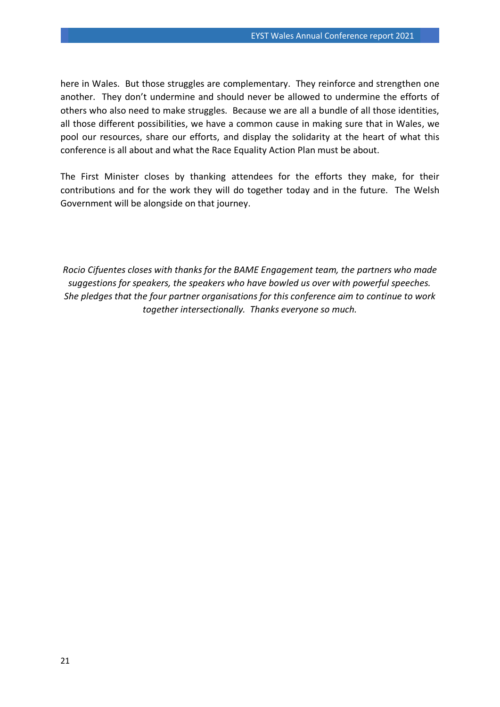here in Wales. But those struggles are complementary. They reinforce and strengthen one another. They don't undermine and should never be allowed to undermine the efforts of others who also need to make struggles. Because we are all a bundle of all those identities, all those different possibilities, we have a common cause in making sure that in Wales, we pool our resources, share our efforts, and display the solidarity at the heart of what this conference is all about and what the Race Equality Action Plan must be about.

The First Minister closes by thanking attendees for the efforts they make, for their contributions and for the work they will do together today and in the future. The Welsh Government will be alongside on that journey.

*Rocio Cifuentes closes with thanks for the BAME Engagement team, the partners who made suggestions for speakers, the speakers who have bowled us over with powerful speeches. She pledges that the four partner organisations for this conference aim to continue to work together intersectionally. Thanks everyone so much.*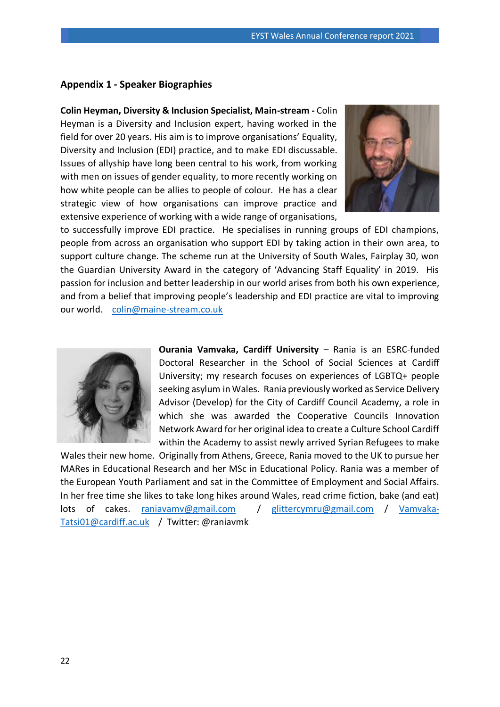#### <span id="page-21-0"></span>**Appendix 1 - Speaker Biographies**

**Colin Heyman, Diversity & Inclusion Specialist, Main-stream -** Colin Heyman is a Diversity and Inclusion expert, having worked in the field for over 20 years. His aim is to improve organisations' Equality, Diversity and Inclusion (EDI) practice, and to make EDI discussable. Issues of allyship have long been central to his work, from working with men on issues of gender equality, to more recently working on how white people can be allies to people of colour. He has a clear strategic view of how organisations can improve practice and extensive experience of working with a wide range of organisations,



to successfully improve EDI practice. He specialises in running groups of EDI champions, people from across an organisation who support EDI by taking action in their own area, to support culture change. The scheme run at the University of South Wales, Fairplay 30, won the Guardian University Award in the category of 'Advancing Staff Equality' in 2019. His passion for inclusion and better leadership in our world arises from both his own experience, and from a belief that improving people's leadership and EDI practice are vital to improving our world. [colin@maine-stream.co.uk](mailto:colin@maine-stream.co.uk) 



**Ourania Vamvaka, Cardiff University** – Rania is an ESRC-funded Doctoral Researcher in the School of Social Sciences at Cardiff University; my research focuses on experiences of LGBTQ+ people seeking asylum in Wales. Rania previously worked as Service Delivery Advisor (Develop) for the City of Cardiff Council Academy, a role in which she was awarded the Cooperative Councils Innovation Network Award for her original idea to create a Culture School Cardiff within the Academy to assist newly arrived Syrian Refugees to make

Wales their new home. Originally from Athens, Greece, Rania moved to the UK to pursue her MARes in Educational Research and her MSc in Educational Policy. Rania was a member of the European Youth Parliament and sat in the Committee of Employment and Social Affairs. In her free time she likes to take long hikes around Wales, read crime fiction, bake (and eat) lots of cakes. [raniavamv@gmail.com](mailto:raniavamv@gmail.com) / [glittercymru@gmail.com](mailto:glittercymru@gmail.com) / [Vamvaka-](mailto:Vamvaka-Tatsi01@cardiff.ac.uk)[Tatsi01@cardiff.ac.uk](mailto:Vamvaka-Tatsi01@cardiff.ac.uk) / Twitter: @raniavmk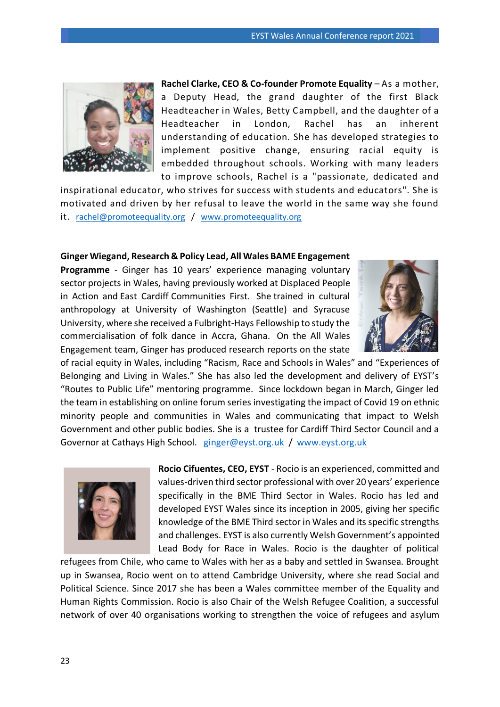

**Rachel Clarke, CEO & Co-founder Promote Equality** – As a mother, a Deputy Head, the grand daughter of the first Black Headteacher in Wales, Betty Campbell, and the daughter of a Headteacher in London, Rachel has an inherent understanding of education. She has developed strategies to implement positive change, ensuring racial equity is embedded throughout schools. Working with many leaders to improve schools, Rachel is a "passionate, dedicated and

inspirational educator, who strives for success with students and educators". She is motivated and driven by her refusal to leave the world in the same way she found it. [rachel@promoteequality.org](mailto:rachel@promoteequality.org) / [www.promoteequality.org](http://www.promoteequality.org/)

#### **Ginger Wiegand, Research & Policy Lead, All Wales BAME Engagement**

**Programme** - Ginger has 10 years' experience managing voluntary sector projects in Wales, having previously worked at Displaced People in Action and East Cardiff Communities First. She trained in cultural anthropology at University of Washington (Seattle) and Syracuse University, where she received a Fulbright-Hays Fellowship to study the commercialisation of folk dance in Accra, Ghana. On the All Wales Engagement team, Ginger has produced research reports on the state



of racial equity in Wales, including "Racism, Race and Schools in Wales" and "Experiences of Belonging and Living in Wales." She has also led the development and delivery of EYST's "Routes to Public Life" mentoring programme. Since lockdown began in March, Ginger led the team in establishing on online forum series investigating the impact of Covid 19 on ethnic minority people and communities in Wales and communicating that impact to Welsh Government and other public bodies. She is a trustee for Cardiff Third Sector Council and a Governor at Cathays High School. [ginger@eyst.org.uk](mailto:ginger@eyst.org.uk) / [www.eyst.org.uk](http://www.eyst.org.uk/)



**Rocio Cifuentes, CEO, EYST** - Rocio is an experienced, committed and values-driven third sector professional with over 20 years' experience specifically in the BME Third Sector in Wales. Rocio has led and developed EYST Wales since its inception in 2005, giving her specific knowledge of the BME Third sector in Wales and its specific strengths and challenges. EYST is also currently Welsh Government's appointed Lead Body for Race in Wales. Rocio is the daughter of political

refugees from Chile, who came to Wales with her as a baby and settled in Swansea. Brought up in Swansea, Rocio went on to attend Cambridge University, where she read Social and Political Science. Since 2017 she has been a Wales committee member of the Equality and Human Rights Commission. Rocio is also Chair of the Welsh Refugee Coalition, a successful network of over 40 organisations working to strengthen the voice of refugees and asylum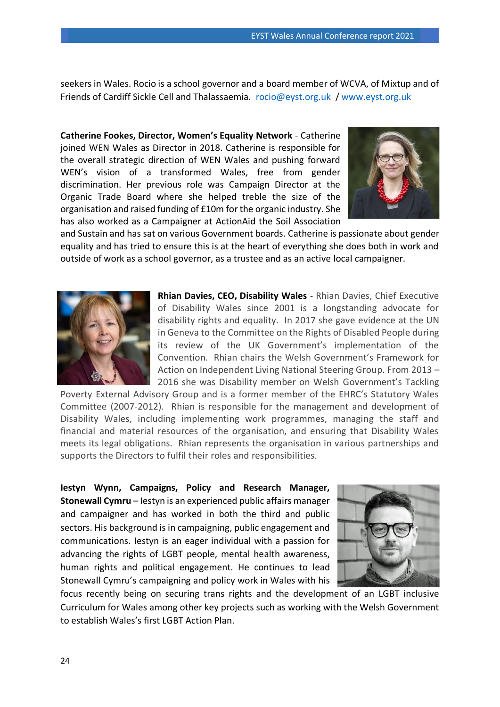seekers in Wales. Rocio is a school governor and a board member of WCVA, of Mixtup and of Friends of Cardiff Sickle Cell and Thalassaemia. [rocio@eyst.org.uk](mailto:rocio@eyst.org.uk) / [www.eyst.org.uk](http://www.eyst.org.uk/)

**Catherine Fookes, Director, Women's Equality Network** - Catherine joined WEN Wales as Director in 2018. Catherine is responsible for the overall strategic direction of WEN Wales and pushing forward WEN's vision of a transformed Wales, free from gender discrimination. Her previous role was Campaign Director at the Organic Trade Board where she helped treble the size of the organisation and raised funding of £10m for the organic industry. She has also worked as a Campaigner at ActionAid the Soil Association



and Sustain and has sat on various Government boards. Catherine is passionate about gender equality and has tried to ensure this is at the heart of everything she does both in work and outside of work as a school governor, as a trustee and as an active local campaigner.



**Rhian Davies, CEO, Disability Wales** - Rhian Davies, Chief Executive of Disability Wales since 2001 is a longstanding advocate for disability rights and equality. In 2017 she gave evidence at the UN in Geneva to the Committee on the Rights of Disabled People during its review of the UK Government's implementation of the Convention. Rhian chairs the Welsh Government's Framework for Action on Independent Living National Steering Group. From 2013 – 2016 she was Disability member on Welsh Government's Tackling

Poverty External Advisory Group and is a former member of the EHRC's Statutory Wales Committee (2007-2012). Rhian is responsible for the management and development of Disability Wales, including implementing work programmes, managing the staff and financial and material resources of the organisation, and ensuring that Disability Wales meets its legal obligations. Rhian represents the organisation in various partnerships and supports the Directors to fulfil their roles and responsibilities.

**Iestyn Wynn, Campaigns, Policy and Research Manager, Stonewall Cymru** – Iestyn is an experienced public affairs manager and campaigner and has worked in both the third and public sectors. His background is in campaigning, public engagement and communications. Iestyn is an eager individual with a passion for advancing the rights of LGBT people, mental health awareness, human rights and political engagement. He continues to lead Stonewall Cymru's campaigning and policy work in Wales with his



focus recently being on securing trans rights and the development of an LGBT inclusive Curriculum for Wales among other key projects such as working with the Welsh Government to establish Wales's first LGBT Action Plan.